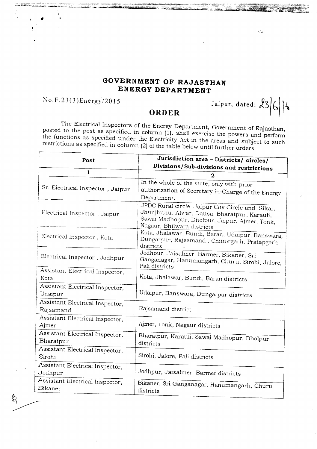## **GOVERNMENT OF RAJASTHAN ENERGY DEPARTMENT**

## No. F .23 (3 )Energy/20 **15**

Jaipur, dated:  $236$ 

 $\sqrt{2} \xi$ 

## **ORDER**

The Electrical Inspectors of the Energy Department, Government of Rajasthan, posted to the post as specified in column (1), shall exercise the powers and perform the functions as specified under the Electricity Act in the areas and subject to such restrictions as specified in column (2) of the table below until further orders.

| Post                                              | Jurisdiction area - Districts/ circles/<br>Divisions/Sub-divisions and restrictions                                                                                             |
|---------------------------------------------------|---------------------------------------------------------------------------------------------------------------------------------------------------------------------------------|
| 1                                                 |                                                                                                                                                                                 |
| Sr. Electrical Inspector, Jaipur                  | In the whole of the state, only with prior<br>authorization of Secretary in-Charge of the Energy<br>Department.                                                                 |
| Electrical Inspector, Jaipur                      | JPDC Rural circle, Jaipur City Circle and Sikar,<br>Jhunjhunu, Alwar, Dausa, Bharatpur, Karauli,<br>Sawai Madhopur, Dhelpur, Jaipur, Ajmer, Tonk,<br>Nagaur, Bhilwara districts |
| Electrical Inspector, Kota                        | Kota, Jhalawar, Bundi, Baran, Udaipur, Banswara,<br>Dungarnur, Rajsamand, Chittorgarh, Pratapgarh<br>districts                                                                  |
| Electrical Inspector, Jodhpur                     | Jodhpur, Jaisalmer, Barmer, Bikaner, Sri<br>Ganganagar, Hanumangarh, Churu, Sirohi, Jalore,<br>Pali districts                                                                   |
| Assistant Electrical Inspector,<br>Kota           | Kota, Jhalawar, Bundi, Baran districts                                                                                                                                          |
| Assistant Electrical Inspector,<br>Udaipur        | Udaipur, Banswara, Dungarpur districts                                                                                                                                          |
| Assistant Electrical Inspector,<br>Rajsamand      | Rajsamand district                                                                                                                                                              |
| Assistant Electrical Inspector,<br>Ajmer          | Ajmer, Ionk, Nagaur districts                                                                                                                                                   |
| Assistant Electrical Inspector,<br>Bharatpur      | Bharatpur, Karauli, Sawai Madhopur, Dholpur<br>districts                                                                                                                        |
| Assistant Electrical Inspector,<br>Sirohi         | Sirohi, Jalore, Pali districts                                                                                                                                                  |
| Assistant Electrical Inspector,<br>Jodhpur        | Jodhpur, Jaisalmer, Barmer districts                                                                                                                                            |
| Assistant Electrical Inspector,<br><b>Bikaner</b> | Bikaner, Sri Ganganagar, Hanumangarh, Churu<br>districts                                                                                                                        |